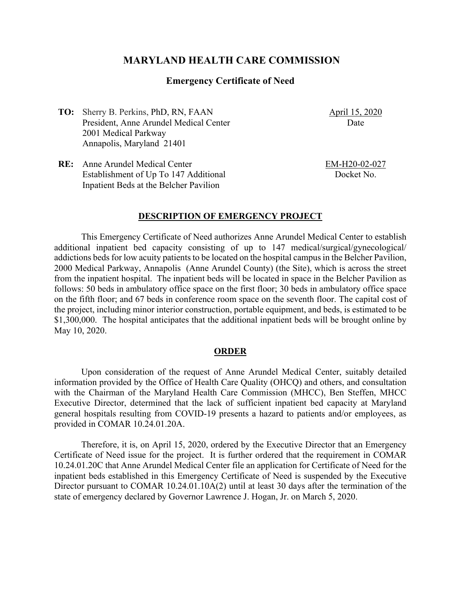## **MARYLAND HEALTH CARE COMMISSION**

### **Emergency Certificate of Need**

**TO:** Sherry B. Perkins, PhD, RN, FAAN President, Anne Arundel Medical Center 2001 Medical Parkway Annapolis, Maryland 21401

April 15, 2020 Date

**RE:** Anne Arundel Medical Center Establishment of Up To 147 Additional Inpatient Beds at the Belcher Pavilion

EM-H20-02-027 Docket No.

#### **DESCRIPTION OF EMERGENCY PROJECT**

This Emergency Certificate of Need authorizes Anne Arundel Medical Center to establish additional inpatient bed capacity consisting of up to 147 medical/surgical/gynecological/ addictions beds for low acuity patients to be located on the hospital campus in the Belcher Pavilion, 2000 Medical Parkway, Annapolis (Anne Arundel County) (the Site), which is across the street from the inpatient hospital. The inpatient beds will be located in space in the Belcher Pavilion as follows: 50 beds in ambulatory office space on the first floor; 30 beds in ambulatory office space on the fifth floor; and 67 beds in conference room space on the seventh floor. The capital cost of the project, including minor interior construction, portable equipment, and beds, is estimated to be \$1,300,000. The hospital anticipates that the additional inpatient beds will be brought online by May 10, 2020.

#### **ORDER**

Upon consideration of the request of Anne Arundel Medical Center, suitably detailed information provided by the Office of Health Care Quality (OHCQ) and others, and consultation with the Chairman of the Maryland Health Care Commission (MHCC), Ben Steffen, MHCC Executive Director, determined that the lack of sufficient inpatient bed capacity at Maryland general hospitals resulting from COVID-19 presents a hazard to patients and/or employees, as provided in COMAR 10.24.01.20A.

Therefore, it is, on April 15, 2020, ordered by the Executive Director that an Emergency Certificate of Need issue for the project. It is further ordered that the requirement in COMAR 10.24.01.20C that Anne Arundel Medical Center file an application for Certificate of Need for the inpatient beds established in this Emergency Certificate of Need is suspended by the Executive Director pursuant to COMAR 10.24.01.10A(2) until at least 30 days after the termination of the state of emergency declared by Governor Lawrence J. Hogan, Jr. on March 5, 2020.